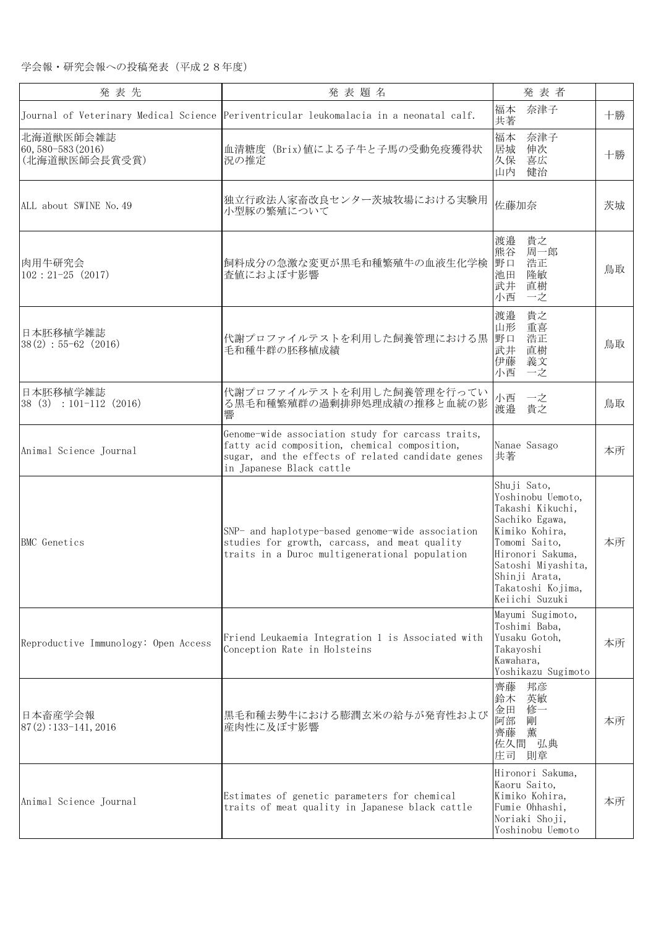| 発表先                                              | 発表題名                                                                                                                                                                                | 発表者                                                                                                                                                                                                         |    |
|--------------------------------------------------|-------------------------------------------------------------------------------------------------------------------------------------------------------------------------------------|-------------------------------------------------------------------------------------------------------------------------------------------------------------------------------------------------------------|----|
|                                                  | Journal of Veterinary Medical Science Periventricular leukomalacia in a neonatal calf.                                                                                              | 奈津子<br>福本<br>共著                                                                                                                                                                                             | 十勝 |
| 北海道獣医師会雑誌<br>60, 580-583 (2016)<br>(北海道獣医師会長賞受賞) | 血清糖度 (Brix)値による子牛と子馬の受動免疫獲得状<br>況の推定                                                                                                                                                | 福本<br>奈津子<br>居城<br>伸次<br>久保<br>喜広<br>山内<br>健治                                                                                                                                                               | 十勝 |
| ALL about SWINE No. 49                           | 独立行政法人家畜改良センター茨城牧場における実験用<br>小型豚の繁殖について                                                                                                                                             | 佐藤加奈                                                                                                                                                                                                        | 茨城 |
| 肉用牛研究会<br>$102:21-25(2017)$                      | 飼料成分の急激な変更が黒毛和種繁殖牛の血液生化学検<br>査値におよぼす影響                                                                                                                                              | 渡邉<br>貴之<br>周一郎<br>熊谷<br>野口<br>浩正<br>隆敏<br>池田<br>武井<br>直樹<br>一之<br>小西                                                                                                                                       | 鳥取 |
| 日本胚移植学雑誌<br>$38(2) : 55-62(2016)$                | 代謝プロファイルテストを利用した飼養管理における黒<br>毛和種牛群の胚移植成績                                                                                                                                            | 貴之<br>渡邉<br>山形<br>重喜<br>野口<br>浩正<br>武井<br>直樹<br>伊藤<br>義文<br>小西<br>一之                                                                                                                                        | 鳥取 |
| 日本胚移植学雑誌<br>$38(3) : 101-112(2016)$              | 代謝プロファイルテストを利用した飼養管理を行ってい<br>る黒毛和種繁殖群の過剰排卵処理成績の推移と血統の影<br>響                                                                                                                         | 小西<br>一之<br>渡邉<br>貴之                                                                                                                                                                                        | 鳥取 |
| Animal Science Journal                           | Genome-wide association study for carcass traits,<br>fatty acid composition, chemical composition,<br>sugar, and the effects of related candidate genes<br>in Japanese Black cattle | Nanae Sasago<br>共著                                                                                                                                                                                          | 本所 |
| <b>BMC</b> Genetics                              | SNP- and haplotype-based genome-wide association<br>studies for growth, carcass, and meat quality<br>traits in a Duroc multigenerational population                                 | Shuji Sato,<br>Yoshinobu Uemoto,<br>Takashi Kikuchi,<br>Sachiko Egawa,<br>Kimiko Kohira,<br>Tomomi Saito,<br>Hironori Sakuma,<br>Satoshi Miyashita,<br>Shinji Arata,<br>Takatoshi Kojima,<br>Keiichi Suzuki | 本所 |
| Reproductive Immunology: Open Access             | Friend Leukaemia Integration 1 is Associated with<br>Conception Rate in Holsteins                                                                                                   | Mayumi Sugimoto,<br>Toshimi Baba,<br>Yusaku Gotoh,<br>Takayoshi<br>Kawahara,<br>Yoshikazu Sugimoto                                                                                                          | 本所 |
| 日本畜産学会報<br>$87(2):133-141,2016$                  | 黒毛和種去勢牛における膨潤玄米の給与が発育性および<br>産肉性に及ぼす影響                                                                                                                                              | 齊藤<br>邦彦<br>鈴木<br>英敏<br>金田<br>修一<br>阿部<br>剛<br>齊藤<br>薫<br>佐久間 弘典<br>庄司 則章                                                                                                                                   | 本所 |
| Animal Science Journal                           | Estimates of genetic parameters for chemical<br>traits of meat quality in Japanese black cattle                                                                                     | Hironori Sakuma,<br>Kaoru Saito,<br>Kimiko Kohira,<br>Fumie Ohhashi,<br>Noriaki Shoji,<br>Yoshinobu Uemoto                                                                                                  | 本所 |